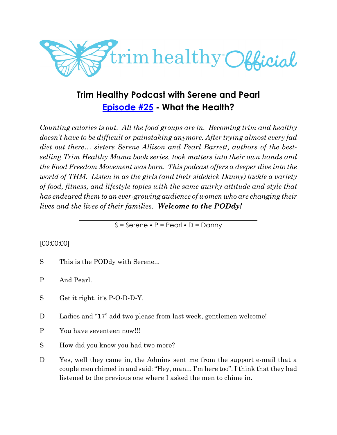

# **Trim Healthy Podcast with Serene and Pearl [Episode #25](https://cms.megaphone.fm/channel/trimhealthypodcast?selected=ADL4263601527) - What the Health?**

*Counting calories is out. All the food groups are in. Becoming trim and healthy doesn't have to be difficult or painstaking anymore. After trying almost every fad diet out there… sisters Serene Allison and Pearl Barrett, authors of the bestselling Trim Healthy Mama book series, took matters into their own hands and the Food Freedom Movement was born. This podcast offers a deeper dive into the world of THM. Listen in as the girls (and their sidekick Danny) tackle a variety of food, fitness, and lifestyle topics with the same quirky attitude and style that has endeared them to an ever-growing audience of women who are changing their lives and the lives of their families. Welcome to the PODdy!*

 $S =$  Serene  $\bullet$  P = Pearl  $\bullet$  D = Danny

### [00:00:00]

S This is the PODdy with Serene...

P And Pearl.

- S Get it right, it's P-O-D-D-Y.
- D Ladies and "17" add two please from last week, gentlemen welcome!
- P You have seventeen now!!!
- S How did you know you had two more?
- D Yes, well they came in, the Admins sent me from the support e-mail that a couple men chimed in and said: "Hey, man... I'm here too". I think that they had listened to the previous one where I asked the men to chime in.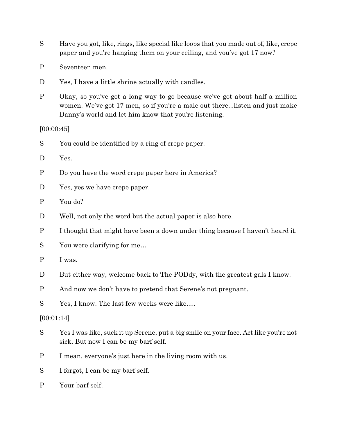- S Have you got, like, rings, like special like loops that you made out of, like, crepe paper and you're hanging them on your ceiling, and you've got 17 now?
- P Seventeen men.
- D Yes, I have a little shrine actually with candles.
- P Okay, so you've got a long way to go because we've got about half a million women. We've got 17 men, so if you're a male out there...listen and just make Danny's world and let him know that you're listening.

[00:00:45]

- S You could be identified by a ring of crepe paper.
- D Yes.
- P Do you have the word crepe paper here in America?
- D Yes, yes we have crepe paper.
- P You do?
- D Well, not only the word but the actual paper is also here.
- P I thought that might have been a down under thing because I haven't heard it.
- S You were clarifying for me…
- P I was.
- D But either way, welcome back to The PODdy, with the greatest gals I know.
- P And now we don't have to pretend that Serene's not pregnant.
- S Yes, I know. The last few weeks were like.....

[00:01:14]

- S Yes I was like, suck it up Serene, put a big smile on your face. Act like you're not sick. But now I can be my barf self.
- P I mean, everyone's just here in the living room with us.
- S I forgot, I can be my barf self.
- P Your barf self.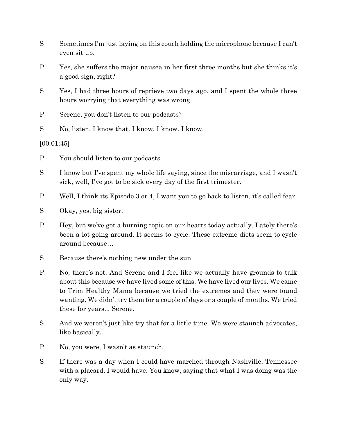- S Sometimes I'm just laying on this couch holding the microphone because I can't even sit up.
- P Yes, she suffers the major nausea in her first three months but she thinks it's a good sign, right?
- S Yes, I had three hours of reprieve two days ago, and I spent the whole three hours worrying that everything was wrong.
- P Serene, you don't listen to our podcasts?
- S No, listen. I know that. I know. I know. I know.

[00:01:45]

- P You should listen to our podcasts.
- S I know but I've spent my whole life saying, since the miscarriage, and I wasn't sick, well, I've got to be sick every day of the first trimester.
- P Well, I think its Episode 3 or 4, I want you to go back to listen, it's called fear.
- S Okay, yes, big sister.
- P Hey, but we've got a burning topic on our hearts today actually. Lately there's been a lot going around. It seems to cycle. These extreme diets seem to cycle around because…
- S Because there's nothing new under the sun
- P No, there's not. And Serene and I feel like we actually have grounds to talk about this because we have lived some of this. We have lived our lives. We came to Trim Healthy Mama because we tried the extremes and they were found wanting. We didn't try them for a couple of days or a couple of months. We tried these for years... Serene.
- S And we weren't just like try that for a little time. We were staunch advocates, like basically…
- P No, you were, I wasn't as staunch.
- S If there was a day when I could have marched through Nashville, Tennessee with a placard, I would have. You know, saying that what I was doing was the only way.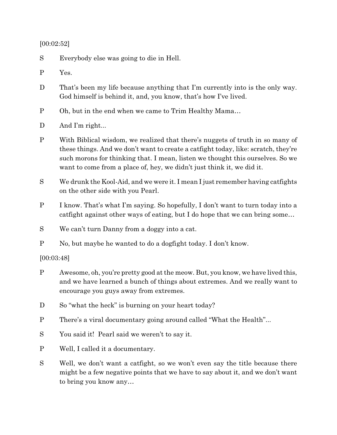#### [00:02:52]

S Everybody else was going to die in Hell.

- P Yes.
- D That's been my life because anything that I'm currently into is the only way. God himself is behind it, and, you know, that's how I've lived.
- P Oh, but in the end when we came to Trim Healthy Mama…
- D And I'm right...
- P With Biblical wisdom, we realized that there's nuggets of truth in so many of these things. And we don't want to create a catfight today, like: scratch, they're such morons for thinking that. I mean, listen we thought this ourselves. So we want to come from a place of, hey, we didn't just think it, we did it.
- S We drunk the Kool-Aid, and we were it. I mean I just remember having catfights on the other side with you Pearl.
- P I know. That's what I'm saying. So hopefully, I don't want to turn today into a catfight against other ways of eating, but I do hope that we can bring some…
- S We can't turn Danny from a doggy into a cat.
- P No, but maybe he wanted to do a dogfight today. I don't know.

[00:03:48]

- P Awesome, oh, you're pretty good at the meow. But, you know, we have lived this, and we have learned a bunch of things about extremes. And we really want to encourage you guys away from extremes.
- D So "what the heck" is burning on your heart today?
- P There's a viral documentary going around called "What the Health"...
- S You said it! Pearl said we weren't to say it.
- P Well, I called it a documentary.
- S Well, we don't want a catfight, so we won't even say the title because there might be a few negative points that we have to say about it, and we don't want to bring you know any…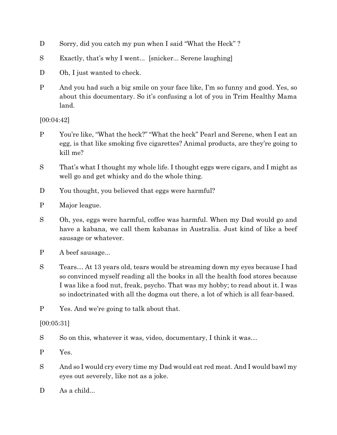- D Sorry, did you catch my pun when I said "What the Heck" ?
- S Exactly, that's why I went... [snicker... Serene laughing]
- D Oh, I just wanted to check.
- P And you had such a big smile on your face like, I'm so funny and good. Yes, so about this documentary. So it's confusing a lot of you in Trim Healthy Mama land.

[00:04:42]

- P You're like, "What the heck?" "What the heck" Pearl and Serene, when I eat an egg, is that like smoking five cigarettes? Animal products, are they're going to kill me?
- S That's what I thought my whole life. I thought eggs were cigars, and I might as well go and get whisky and do the whole thing.
- D You thought, you believed that eggs were harmful?
- P Major league.
- S Oh, yes, eggs were harmful, coffee was harmful. When my Dad would go and have a kabana, we call them kabanas in Australia. Just kind of like a beef sausage or whatever.
- P A beef sausage...
- S Tears… At 13 years old, tears would be streaming down my eyes because I had so convinced myself reading all the books in all the health food stores because I was like a food nut, freak, psycho. That was my hobby; to read about it. I was so indoctrinated with all the dogma out there, a lot of which is all fear-based.
- P Yes. And we're going to talk about that.

### [00:05:31]

- S So on this, whatever it was, video, documentary, I think it was...
- P Yes.
- S And so I would cry every time my Dad would eat red meat. And I would bawl my eyes out severely, like not as a joke.
- D As a child...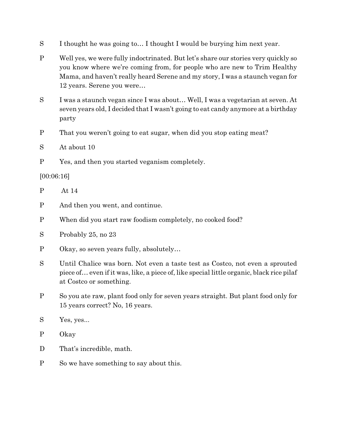- S I thought he was going to… I thought I would be burying him next year.
- P Well yes, we were fully indoctrinated. But let's share our stories very quickly so you know where we're coming from, for people who are new to Trim Healthy Mama, and haven't really heard Serene and my story, I was a staunch vegan for 12 years. Serene you were…
- S I was a staunch vegan since I was about… Well, I was a vegetarian at seven. At seven years old, I decided that I wasn't going to eat candy anymore at a birthday party
- P That you weren't going to eat sugar, when did you stop eating meat?
- S At about 10
- P Yes, and then you started veganism completely.

### [00:06:16]

- P At 14
- P And then you went, and continue.
- P When did you start raw foodism completely, no cooked food?
- S Probably 25, no 23
- P Okay, so seven years fully, absolutely…
- S Until Chalice was born. Not even a taste test as Costco, not even a sprouted piece of… even if it was, like, a piece of, like special little organic, black rice pilaf at Costco or something.
- P So you ate raw, plant food only for seven years straight. But plant food only for 15 years correct? No, 16 years.
- S Yes, yes...
- P Okay
- D That's incredible, math.
- P So we have something to say about this.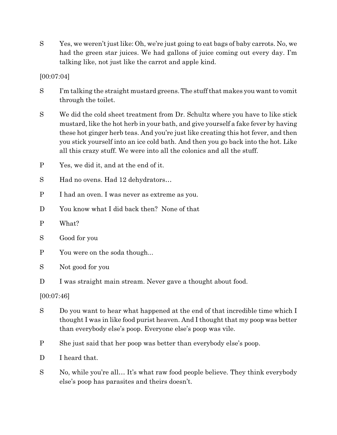S Yes, we weren't just like: Oh, we're just going to eat bags of baby carrots. No, we had the green star juices. We had gallons of juice coming out every day. I'm talking like, not just like the carrot and apple kind.

[00:07:04]

- S I'm talking the straight mustard greens. The stuff that makes you want to vomit through the toilet.
- S We did the cold sheet treatment from Dr. Schultz where you have to like stick mustard, like the hot herb in your bath, and give yourself a fake fever by having these hot ginger herb teas. And you're just like creating this hot fever, and then you stick yourself into an ice cold bath. And then you go back into the hot. Like all this crazy stuff. We were into all the colonics and all the stuff.
- P Yes, we did it, and at the end of it.
- S Had no ovens. Had 12 dehydrators…
- P I had an oven. I was never as extreme as you.
- D You know what I did back then? None of that
- P What?
- S Good for you
- P You were on the soda though...
- S Not good for you
- D I was straight main stream. Never gave a thought about food.

[00:07:46]

- S Do you want to hear what happened at the end of that incredible time which I thought I was in like food purist heaven. And I thought that my poop was better than everybody else's poop. Everyone else's poop was vile.
- P She just said that her poop was better than everybody else's poop.
- D I heard that.
- S No, while you're all… It's what raw food people believe. They think everybody else's poop has parasites and theirs doesn't.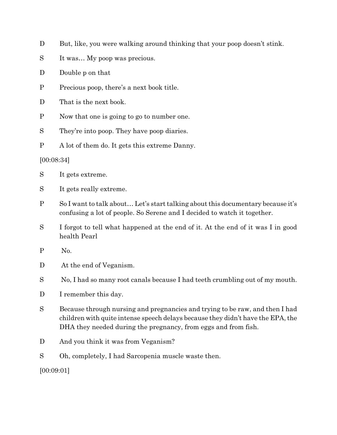- D But, like, you were walking around thinking that your poop doesn't stink.
- S It was... My poop was precious.
- D Double p on that
- P Precious poop, there's a next book title.
- D That is the next book.
- P Now that one is going to go to number one.
- S They're into poop. They have poop diaries.
- P A lot of them do. It gets this extreme Danny.

#### [00:08:34]

- S It gets extreme.
- S It gets really extreme.
- P So I want to talk about… Let's start talking about this documentary because it's confusing a lot of people. So Serene and I decided to watch it together.
- S I forgot to tell what happened at the end of it. At the end of it was I in good health Pearl
- P No.
- D At the end of Veganism.
- S No, I had so many root canals because I had teeth crumbling out of my mouth.
- D I remember this day.
- S Because through nursing and pregnancies and trying to be raw, and then I had children with quite intense speech delays because they didn't have the EPA, the DHA they needed during the pregnancy, from eggs and from fish.
- D And you think it was from Veganism?
- S Oh, completely, I had Sarcopenia muscle waste then.

[00:09:01]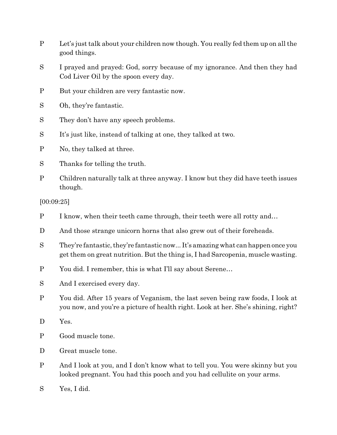- P Let's just talk about your children now though. You really fed them up on all the good things.
- S I prayed and prayed: God, sorry because of my ignorance. And then they had Cod Liver Oil by the spoon every day.
- P But your children are very fantastic now.
- S Oh, they're fantastic.
- S They don't have any speech problems.
- S It's just like, instead of talking at one, they talked at two.
- P No, they talked at three.
- S Thanks for telling the truth.
- P Children naturally talk at three anyway. I know but they did have teeth issues though.

[00:09:25]

- P I know, when their teeth came through, their teeth were all rotty and...
- D And those strange unicorn horns that also grew out of their foreheads.
- S They're fantastic, they're fantastic now... It's amazing what canhappen once you get them on great nutrition. But the thing is, I had Sarcopenia, muscle wasting.
- P You did. I remember, this is what I'll say about Serene…
- S And I exercised every day.
- P You did. After 15 years of Veganism, the last seven being raw foods, I look at you now, and you're a picture of health right. Look at her. She's shining, right?
- D Yes.
- P Good muscle tone.
- D Great muscle tone.
- P And I look at you, and I don't know what to tell you. You were skinny but you looked pregnant. You had this pooch and you had cellulite on your arms.
- S Yes, I did.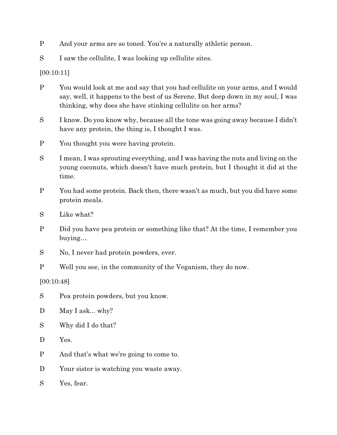- P And your arms are so toned. You're a naturally athletic person.
- S I saw the cellulite, I was looking up cellulite sites.

[00:10:11]

- P You would look at me and say that you had cellulite on your arms, and I would say, well, it happens to the best of us Serene. But deep down in my soul, I was thinking, why does she have stinking cellulite on her arms?
- S I know. Do you know why, because all the tone was going away because I didn't have any protein, the thing is, I thought I was.
- P You thought you were having protein.
- S I mean, I was sprouting everything, and I was having the nuts and living on the young coconuts, which doesn't have much protein, but I thought it did at the time.
- P You had some protein. Back then, there wasn't as much, but you did have some protein meals.
- S Like what?
- P Did you have pea protein or something like that? At the time, I remember you buying…
- S No, I never had protein powders, ever.
- P Well you see, in the community of the Veganism, they do now.

[00:10:48]

- S Pea protein powders, but you know.
- D May I ask... why?
- S Why did I do that?
- D Yes.
- P And that's what we're going to come to.
- D Your sister is watching you waste away.
- S Yes, fear.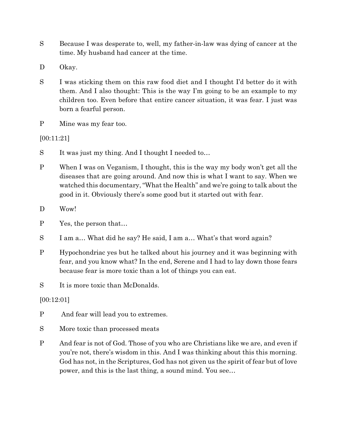- S Because I was desperate to, well, my father-in-law was dying of cancer at the time. My husband had cancer at the time.
- D Okay.
- S I was sticking them on this raw food diet and I thought I'd better do it with them. And I also thought: This is the way I'm going to be an example to my children too. Even before that entire cancer situation, it was fear. I just was born a fearful person.
- P Mine was my fear too.

[00:11:21]

- S It was just my thing. And I thought I needed to...
- P When I was on Veganism, I thought, this is the way my body won't get all the diseases that are going around. And now this is what I want to say. When we watched this documentary, "What the Health" and we're going to talk about the good in it. Obviously there's some good but it started out with fear.
- D Wow!
- P Yes, the person that…
- S I am a… What did he say? He said, I am a… What's that word again?
- P Hypochondriac yes but he talked about his journey and it was beginning with fear, and you know what? In the end, Serene and I had to lay down those fears because fear is more toxic than a lot of things you can eat.
- S It is more toxic than McDonalds.

[00:12:01]

- P And fear will lead you to extremes.
- S More toxic than processed meats
- P And fear is not of God. Those of you who are Christians like we are, and even if you're not, there's wisdom in this. And I was thinking about this this morning. God has not, in the Scriptures, God has not given us the spirit of fear but of love power, and this is the last thing, a sound mind. You see…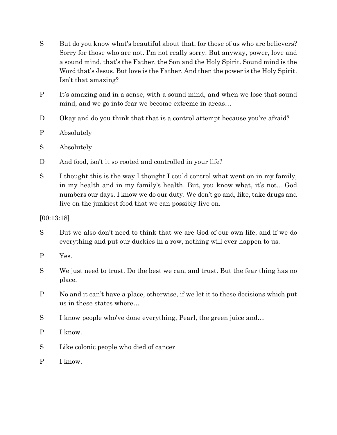- S But do you know what's beautiful about that, for those of us who are believers? Sorry for those who are not. I'm not really sorry. But anyway, power, love and a sound mind, that's the Father, the Son and the Holy Spirit. Sound mind is the Word that's Jesus. But love is the Father. And then the power is the Holy Spirit. Isn't that amazing?
- P It's amazing and in a sense, with a sound mind, and when we lose that sound mind, and we go into fear we become extreme in areas…
- D Okay and do you think that that is a control attempt because you're afraid?
- P Absolutely
- S Absolutely
- D And food, isn't it so rooted and controlled in your life?
- S I thought this is the way I thought I could control what went on in my family, in my health and in my family's health. But, you know what, it's not... God numbers our days. I know we do our duty. We don't go and, like, take drugs and live on the junkiest food that we can possibly live on.

[00:13:18]

- S But we also don't need to think that we are God of our own life, and if we do everything and put our duckies in a row, nothing will ever happen to us.
- P Yes.
- S We just need to trust. Do the best we can, and trust. But the fear thing has no place.
- P No and it can't have a place, otherwise, if we let it to these decisions which put us in these states where…
- S I know people who've done everything, Pearl, the green juice and...
- P I know.
- S Like colonic people who died of cancer
- P I know.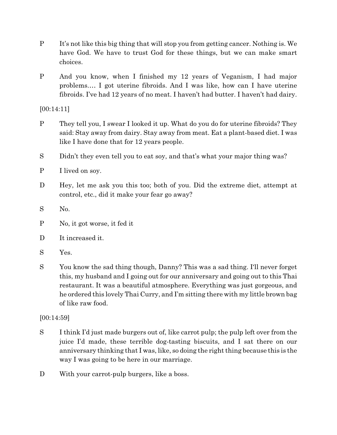- P It's not like this big thing that will stop you from getting cancer. Nothing is. We have God. We have to trust God for these things, but we can make smart choices.
- P And you know, when I finished my 12 years of Veganism, I had major problems.… I got uterine fibroids. And I was like, how can I have uterine fibroids. I've had 12 years of no meat. I haven't had butter. I haven't had dairy.

[00:14:11]

- P They tell you, I swear I looked it up. What do you do for uterine fibroids? They said: Stay away from dairy. Stay away from meat. Eat a plant-based diet. I was like I have done that for 12 years people.
- S Didn't they even tell you to eat soy, and that's what your major thing was?
- P I lived on soy.
- D Hey, let me ask you this too; both of you. Did the extreme diet, attempt at control, etc., did it make your fear go away?
- S No.
- P No, it got worse, it fed it
- D It increased it.
- S Yes.
- S You know the sad thing though, Danny? This was a sad thing. I'll never forget this, my husband and I going out for our anniversary and going out to this Thai restaurant. It was a beautiful atmosphere. Everything was just gorgeous, and he ordered this lovely Thai Curry, and I'm sitting there with my little brown bag of like raw food.

[00:14:59]

- S I think I'd just made burgers out of, like carrot pulp; the pulp left over from the juice I'd made, these terrible dog-tasting biscuits, and I sat there on our anniversary thinking that I was, like, so doing the right thing because this is the way I was going to be here in our marriage.
- D With your carrot-pulp burgers, like a boss.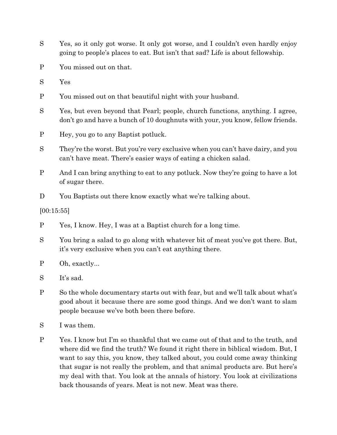- S Yes, so it only got worse. It only got worse, and I couldn't even hardly enjoy going to people's places to eat. But isn't that sad? Life is about fellowship.
- P You missed out on that.
- S Yes
- P You missed out on that beautiful night with your husband.
- S Yes, but even beyond that Pearl; people, church functions, anything. I agree, don't go and have a bunch of 10 doughnuts with your, you know, fellow friends.
- P Hey, you go to any Baptist potluck.
- S They're the worst. But you're very exclusive when you can't have dairy, and you can't have meat. There's easier ways of eating a chicken salad.
- P And I can bring anything to eat to any potluck. Now they're going to have a lot of sugar there.
- D You Baptists out there know exactly what we're talking about.

[00:15:55]

- P Yes, I know. Hey, I was at a Baptist church for a long time.
- S You bring a salad to go along with whatever bit of meat you've got there. But, it's very exclusive when you can't eat anything there.
- P Oh, exactly...
- S It's sad.
- P So the whole documentary starts out with fear, but and we'll talk about what's good about it because there are some good things. And we don't want to slam people because we've both been there before.
- S I was them.
- P Yes. I know but I'm so thankful that we came out of that and to the truth, and where did we find the truth? We found it right there in biblical wisdom. But, I want to say this, you know, they talked about, you could come away thinking that sugar is not really the problem, and that animal products are. But here's my deal with that. You look at the annals of history. You look at civilizations back thousands of years. Meat is not new. Meat was there.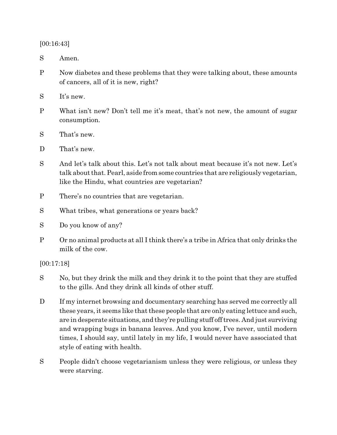[00:16:43]

S Amen.

- P Now diabetes and these problems that they were talking about, these amounts of cancers, all of it is new, right?
- S It's new.
- P What isn't new? Don't tell me it's meat, that's not new, the amount of sugar consumption.
- S That's new.
- D That's new.
- S And let's talk about this. Let's not talk about meat because it's not new. Let's talk about that. Pearl, aside from some countries that are religiously vegetarian, like the Hindu, what countries are vegetarian?
- P There's no countries that are vegetarian.
- S What tribes, what generations or years back?
- S Do you know of any?
- P Or no animal products at all I think there's a tribe in Africa that only drinks the milk of the cow.

[00:17:18]

- S No, but they drink the milk and they drink it to the point that they are stuffed to the gills. And they drink all kinds of other stuff.
- D If my internet browsing and documentary searching has served me correctly all these years, it seems like that these people that are only eating lettuce and such, are in desperate situations, and they're pulling stuff off trees. And just surviving and wrapping bugs in banana leaves. And you know, I've never, until modern times, I should say, until lately in my life, I would never have associated that style of eating with health.
- S People didn't choose vegetarianism unless they were religious, or unless they were starving.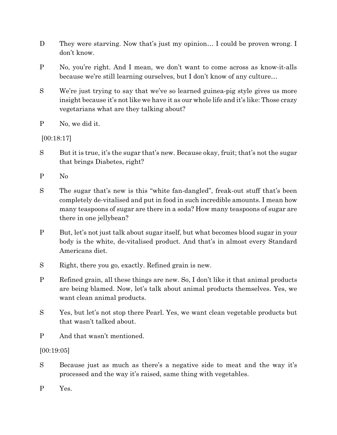- D They were starving. Now that's just my opinion... I could be proven wrong. I don't know.
- P No, you're right. And I mean, we don't want to come across as know-it-alls because we're still learning ourselves, but I don't know of any culture…
- S We're just trying to say that we've so learned guinea-pig style gives us more insight because it's not like we have it as our whole life and it's like: Those crazy vegetarians what are they talking about?
- P No, we did it.

[00:18:17]

- S But it is true, it's the sugar that's new. Because okay, fruit; that's not the sugar that brings Diabetes, right?
- P No
- S The sugar that's new is this "white fan-dangled", freak-out stuff that's been completely de-vitalised and put in food in such incredible amounts. I mean how many teaspoons of sugar are there in a soda? How many teaspoons of sugar are there in one jellybean?
- P But, let's not just talk about sugar itself, but what becomes blood sugar in your body is the white, de-vitalised product. And that's in almost every Standard Americans diet.
- S Right, there you go, exactly. Refined grain is new.
- P Refined grain, all these things are new. So, I don't like it that animal products are being blamed. Now, let's talk about animal products themselves. Yes, we want clean animal products.
- S Yes, but let's not stop there Pearl. Yes, we want clean vegetable products but that wasn't talked about.
- P And that wasn't mentioned.

### [00:19:05]

- S Because just as much as there's a negative side to meat and the way it's processed and the way it's raised, same thing with vegetables.
- P Yes.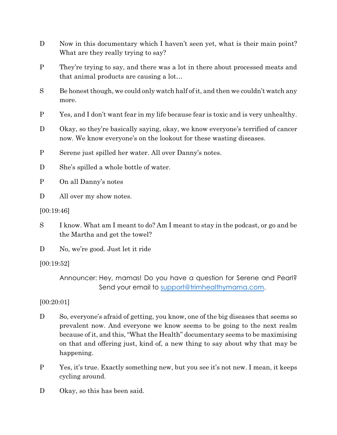- D Now in this documentary which I haven't seen yet, what is their main point? What are they really trying to say?
- P They're trying to say, and there was a lot in there about processed meats and that animal products are causing a lot…
- S Be honest though, we could only watch half of it, and then we couldn't watch any more.
- P Yes, and I don't want fear in my life because fear is toxic and is very unhealthy.
- D Okay, so they're basically saying, okay, we know everyone's terrified of cancer now. We know everyone's on the lookout for these wasting diseases.
- P Serene just spilled her water. All over Danny's notes.
- D She's spilled a whole bottle of water.
- P On all Danny's notes
- D All over my show notes.
- [00:19:46]
- S I know. What am I meant to do? Am I meant to stay in the podcast, or go and be the Martha and get the towel?
- D No, we're good. Just let it ride
- [00:19:52]

Announcer: Hey, mamas! Do you have a question for Serene and Pearl? Send your email to [support@trimhealthymama.com](mailto:support@trimhealthymama.com).

### [00:20:01]

- D So, everyone's afraid of getting, you know, one of the big diseases that seems so prevalent now. And everyone we know seems to be going to the next realm because of it, and this, "What the Health" documentary seems to be maximising on that and offering just, kind of, a new thing to say about why that may be happening.
- P Yes, it's true. Exactly something new, but you see it's not new. I mean, it keeps cycling around.
- D Okay, so this has been said.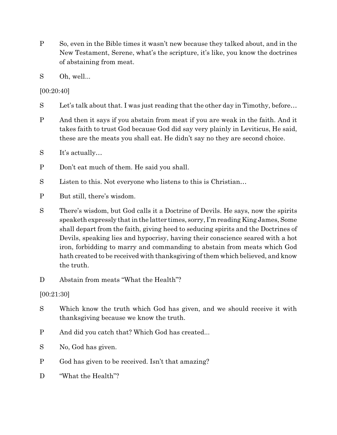- P So, even in the Bible times it wasn't new because they talked about, and in the New Testament, Serene, what's the scripture, it's like, you know the doctrines of abstaining from meat.
- S Oh, well...

[00:20:40]

- S Let's talk about that. I was just reading that the other day in Timothy, before…
- P And then it says if you abstain from meat if you are weak in the faith. And it takes faith to trust God because God did say very plainly in Leviticus, He said, these are the meats you shall eat. He didn't say no they are second choice.
- S It's actually…
- P Don't eat much of them. He said you shall.
- S Listen to this. Not everyone who listens to this is Christian...
- P But still, there's wisdom.
- S There's wisdom, but God calls it a Doctrine of Devils. He says, now the spirits speaketh expressly that in the latter times, sorry, I'm reading King James, Some shall depart from the faith, giving heed to seducing spirits and the Doctrines of Devils, speaking lies and hypocrisy, having their conscience seared with a hot iron, forbidding to marry and commanding to abstain from meats which God hath created to be received with thanksgiving of them which believed, and know the truth.
- D Abstain from meats "What the Health"?

[00:21:30]

- S Which know the truth which God has given, and we should receive it with thanksgiving because we know the truth.
- P And did you catch that? Which God has created...
- S No, God has given.
- P God has given to be received. Isn't that amazing?
- D "What the Health"?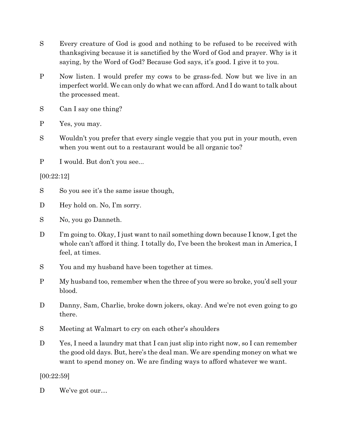- S Every creature of God is good and nothing to be refused to be received with thanksgiving because it is sanctified by the Word of God and prayer. Why is it saying, by the Word of God? Because God says, it's good. I give it to you.
- P Now listen. I would prefer my cows to be grass-fed. Now but we live in an imperfect world. We can only do what we can afford. And I do want to talk about the processed meat.
- S Can I say one thing?
- P Yes, you may.
- S Wouldn't you prefer that every single veggie that you put in your mouth, even when you went out to a restaurant would be all organic too?
- P I would. But don't you see...

### [00:22:12]

- S So you see it's the same issue though,
- D Hey hold on. No, I'm sorry.
- S No, you go Danneth.
- D I'm going to. Okay, I just want to nail something down because I know, I get the whole can't afford it thing. I totally do, I've been the brokest man in America, I feel, at times.
- S You and my husband have been together at times.
- P My husband too, remember when the three of you were so broke, you'd sell your blood.
- D Danny, Sam, Charlie, broke down jokers, okay. And we're not even going to go there.
- S Meeting at Walmart to cry on each other's shoulders
- D Yes, I need a laundry mat that I can just slip into right now, so I can remember the good old days. But, here's the deal man. We are spending money on what we want to spend money on. We are finding ways to afford whatever we want.

### [00:22:59]

D We've got our...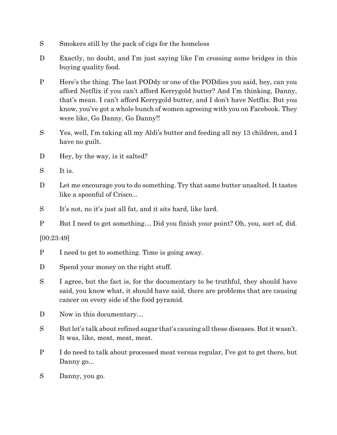- S Smokers still by the pack of cigs for the homeless
- D Exactly, no doubt, and I'm just saying like I'm crossing some bridges in this buying quality food.
- P Here's the thing. The last PODdy or one of the PODdies you said, hey, can you afford Netflix if you can't afford Kerrygold butter? And I'm thinking, Danny, that's mean. I can't afford Kerrygold butter, and I don't have Netflix. But you know, you've got a whole bunch of women agreeing with you on Facebook. They were like, Go Danny, Go Danny!!
- S Yes, well, I'm taking all my Aldi's butter and feeding all my 13 children, and I have no guilt.
- D Hey, by the way, is it salted?
- S It is.
- D Let me encourage you to do something. Try that same butter unsalted. It tastes like a spoonful of Crisco...
- S It's not, no it's just all fat, and it sits hard, like lard.
- P But I need to get something… Did you finish your point? Oh, you, sort of, did.

[00:23:49]

- P I need to get to something. Time is going away.
- D Spend your money on the right stuff.
- S I agree, but the fact is, for the documentary to be truthful, they should have said, you know what, it should have said, there are problems that are causing cancer on every side of the food pyramid.
- D Now in this documentary...
- S But let's talk about refined sugar that's causing allthese diseases. But it wasn't. It was, like, meat, meat, meat.
- P I do need to talk about processed meat versus regular, I've got to get there, but Danny go...
- S Danny, you go.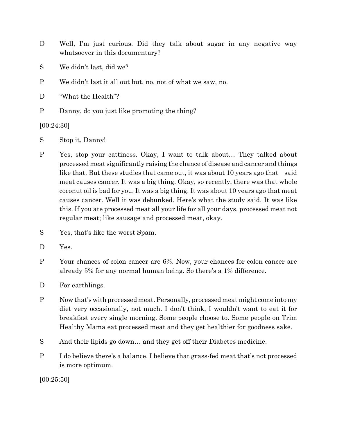- D Well, I'm just curious. Did they talk about sugar in any negative way whatsoever in this documentary?
- S We didn't last, did we?
- P We didn't last it all out but, no, not of what we saw, no.

D "What the Health"?

P Danny, do you just like promoting the thing?

[00:24:30]

- S Stop it, Danny!
- P Yes, stop your cattiness. Okay, I want to talk about… They talked about processed meat significantly raising the chance of disease and cancer and things like that. But these studies that came out, it was about 10 years ago that said meat causes cancer. It was a big thing. Okay, so recently, there was that whole coconut oil is bad for you. It was a big thing. It was about 10 years ago that meat causes cancer. Well it was debunked. Here's what the study said. It was like this. If you ate processed meat all your life for all your days, processed meat not regular meat; like sausage and processed meat, okay.
- S Yes, that's like the worst Spam.
- D Yes.
- P Your chances of colon cancer are 6%. Now, your chances for colon cancer are already 5% for any normal human being. So there's a 1% difference.
- D For earthlings.
- P Now that's with processed meat. Personally, processed meat might come into my diet very occasionally, not much. I don't think, I wouldn't want to eat it for breakfast every single morning. Some people choose to. Some people on Trim Healthy Mama eat processed meat and they get healthier for goodness sake.
- S And their lipids go down… and they get off their Diabetes medicine.
- P I do believe there's a balance. I believe that grass-fed meat that's not processed is more optimum.

[00:25:50]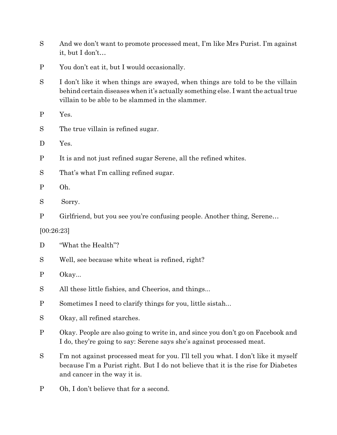- S And we don't want to promote processed meat, I'm like Mrs Purist. I'm against it, but I don't…
- P You don't eat it, but I would occasionally.
- S I don't like it when things are swayed, when things are told to be the villain behind certain diseases when it's actually something else. I want the actual true villain to be able to be slammed in the slammer.
- P Yes.
- S The true villain is refined sugar.
- D Yes.
- P It is and not just refined sugar Serene, all the refined whites.
- S That's what I'm calling refined sugar.
- P Oh.
- S Sorry.
- P Girlfriend, but you see you're confusing people. Another thing, Serene…
- [00:26:23]
- D "What the Health"?
- S Well, see because white wheat is refined, right?
- P Okay...
- S All these little fishies, and Cheerios, and things...
- P Sometimes I need to clarify things for you, little sistah...
- S Okay, all refined starches.
- P Okay. People are also going to write in, and since you don't go on Facebook and I do, they're going to say: Serene says she's against processed meat.
- S I'm not against processed meat for you. I'll tell you what. I don't like it myself because I'm a Purist right. But I do not believe that it is the rise for Diabetes and cancer in the way it is.
- P Oh, I don't believe that for a second.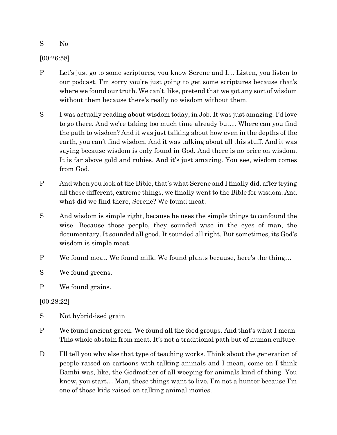S No

[00:26:58]

- P Let's just go to some scriptures, you know Serene and I… Listen, you listen to our podcast, I'm sorry you're just going to get some scriptures because that's where we found our truth. We can't, like, pretend that we got any sort of wisdom without them because there's really no wisdom without them.
- S I was actually reading about wisdom today, in Job. It was just amazing. I'd love to go there. And we're taking too much time already but… Where can you find the path to wisdom? And it was just talking about how even in the depths of the earth, you can't find wisdom. And it was talking about all this stuff. And it was saying because wisdom is only found in God. And there is no price on wisdom. It is far above gold and rubies. And it's just amazing. You see, wisdom comes from God.
- P And when you look at the Bible, that's what Serene and I finally did, after trying all these different, extreme things, we finally went to the Bible for wisdom. And what did we find there, Serene? We found meat.
- S And wisdom is simple right, because he uses the simple things to confound the wise. Because those people, they sounded wise in the eyes of man, the documentary. It sounded all good. It sounded all right. But sometimes, its God's wisdom is simple meat.
- P We found meat. We found milk. We found plants because, here's the thing…

S We found greens.

P We found grains.

[00:28:22]

- S Not hybrid-ised grain
- P We found ancient green. We found all the food groups. And that's what I mean. This whole abstain from meat. It's not a traditional path but of human culture.
- D I'll tell you why else that type of teaching works. Think about the generation of people raised on cartoons with talking animals and I mean, come on I think Bambi was, like, the Godmother of all weeping for animals kind-of-thing. You know, you start… Man, these things want to live. I'm not a hunter because I'm one of those kids raised on talking animal movies.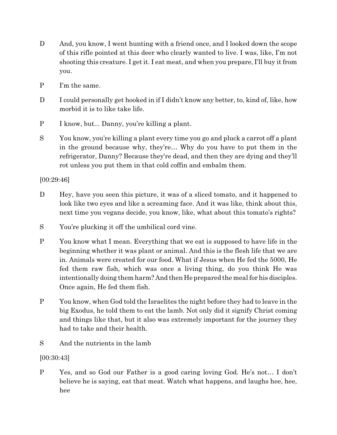- D And, you know, I went hunting with a friend once, and I looked down the scope of this rifle pointed at this deer who clearly wanted to live. I was, like, I'm not shooting this creature. I get it. I eat meat, and when you prepare, I'll buy it from you.
- P I'm the same.
- D I could personally get hooked in if I didn't know any better, to, kind of, like, how morbid it is to like take life.
- P I know, but... Danny, you're killing a plant.
- S You know, you're killing a plant every time you go and pluck a carrot off a plant in the ground because why, they're… Why do you have to put them in the refrigerator, Danny? Because they're dead, and then they are dying and they'll rot unless you put them in that cold coffin and embalm them.

## [00:29:46]

- D Hey, have you seen this picture, it was of a sliced tomato, and it happened to look like two eyes and like a screaming face. And it was like, think about this, next time you vegans decide, you know, like, what about this tomato's rights?
- S You're plucking it off the umbilical cord vine.
- P You know what I mean. Everything that we eat is supposed to have life in the beginning whether it was plant or animal. And this is the flesh life that we are in. Animals were created for our food. What if Jesus when He fed the 5000, He fed them raw fish, which was once a living thing, do you think He was intentionally doing them harm? And then He prepared the meal for his disciples. Once again, He fed them fish.
- P You know, when God told the Israelites the night before they had to leave in the big Exodus, he told them to eat the lamb. Not only did it signify Christ coming and things like that, but it also was extremely important for the journey they had to take and their health.
- S And the nutrients in the lamb

## [00:30:43]

P Yes, and so God our Father is a good caring loving God. He's not… I don't believe he is saying, eat that meat. Watch what happens, and laughs hee, hee, hee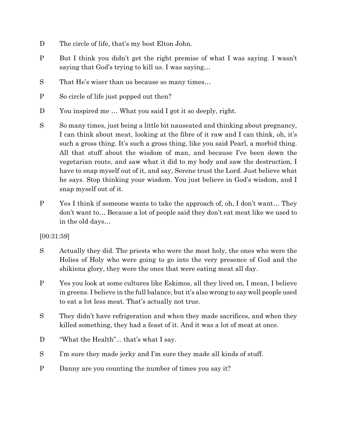- D The circle of life, that's my best Elton John.
- P But I think you didn't get the right premise of what I was saying. I wasn't saying that God's trying to kill us. I was saying…
- S That He's wiser than us because so many times…
- P So circle of life just popped out then?
- D You inspired me ... What you said I got it so deeply, right.
- S So many times, just being a little bit nauseated and thinking about pregnancy, I can think about meat, looking at the fibre of it raw and I can think, oh, it's such a gross thing. It's such a gross thing, like you said Pearl, a morbid thing. All that stuff about the wisdom of man, and because I've been down the vegetarian route, and saw what it did to my body and saw the destruction, I have to snap myself out of it, and say, Serene trust the Lord. Just believe what he says. Stop thinking your wisdom. You just believe in God's wisdom, and I snap myself out of it.
- P Yes I think if someone wants to take the approach of, oh, I don't want… They don't want to… Because a lot of people said they don't eat meat like we used to in the old days…

### [00:31:59]

- S Actually they did. The priests who were the most holy, the ones who were the Holies of Holy who were going to go into the very presence of God and the shikiena glory, they were the ones that were eating meat all day.
- P Yes you look at some cultures like Eskimos, all they lived on, I mean, I believe in greens. I believe in the full balance, but it's also wrong to say well people used to eat a lot less meat. That's actually not true.
- S They didn't have refrigeration and when they made sacrifices, and when they killed something, they had a feast of it. And it was a lot of meat at once.
- D "What the Health"... that's what I say.
- S I'm sure they made jerky and I'm sure they made all kinds of stuff.
- P Danny are you counting the number of times you say it?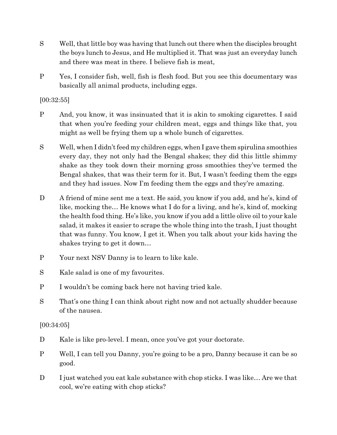- S Well, that little boy was having that lunch out there when the disciples brought the boys lunch to Jesus, and He multiplied it. That was just an everyday lunch and there was meat in there. I believe fish is meat,
- P Yes, I consider fish, well, fish is flesh food. But you see this documentary was basically all animal products, including eggs.

[00:32:55]

- P And, you know, it was insinuated that it is akin to smoking cigarettes. I said that when you're feeding your children meat, eggs and things like that, you might as well be frying them up a whole bunch of cigarettes.
- S Well, when I didn't feed my children eggs, when I gave them spirulina smoothies every day, they not only had the Bengal shakes; they did this little shimmy shake as they took down their morning gross smoothies they've termed the Bengal shakes, that was their term for it. But, I wasn't feeding them the eggs and they had issues. Now I'm feeding them the eggs and they're amazing.
- D A friend of mine sent me a text. He said, you know if you add, and he's, kind of like, mocking the… He knows what I do for a living, and he's, kind of, mocking the health food thing. He's like, you know if you add a little olive oil to your kale salad, it makes it easier to scrape the whole thing into the trash, I just thought that was funny. You know, I get it. When you talk about your kids having the shakes trying to get it down…
- P Your next NSV Danny is to learn to like kale.
- S Kale salad is one of my favourites.
- P I wouldn't be coming back here not having tried kale.
- S That's one thing I can think about right now and not actually shudder because of the nausea.

[00:34:05]

- D Kale is like pro-level. I mean, once you've got your doctorate.
- P Well, I can tell you Danny, you're going to be a pro, Danny because it can be so good.
- D I just watched you eat kale substance with chop sticks. I was like... Are we that cool, we're eating with chop sticks?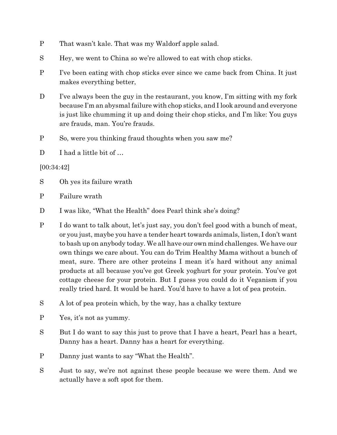- P That wasn't kale. That was my Waldorf apple salad.
- S Hey, we went to China so we're allowed to eat with chop sticks.
- P I've been eating with chop sticks ever since we came back from China. It just makes everything better,
- D I've always been the guy in the restaurant, you know, I'm sitting with my fork because I'm an abysmal failure with chop sticks, and I look around and everyone is just like chumming it up and doing their chop sticks, and I'm like: You guys are frauds, man. You're frauds.
- P So, were you thinking fraud thoughts when you saw me?
- D I had a little bit of ...

[00:34:42]

- S Oh yes its failure wrath
- P Failure wrath
- D I was like, "What the Health" does Pearl think she's doing?
- P I do want to talk about, let's just say, you don't feel good with a bunch of meat, or you just, maybe you have a tender heart towards animals, listen, I don't want to bash up on anybody today. We all have our own mind challenges. We have our own things we care about. You can do Trim Healthy Mama without a bunch of meat, sure. There are other proteins I mean it's hard without any animal products at all because you've got Greek yoghurt for your protein. You've got cottage cheese for your protein. But I guess you could do it Veganism if you really tried hard. It would be hard. You'd have to have a lot of pea protein.
- S A lot of pea protein which, by the way, has a chalky texture
- P Yes, it's not as yummy.
- S But I do want to say this just to prove that I have a heart, Pearl has a heart, Danny has a heart. Danny has a heart for everything.
- P Danny just wants to say "What the Health".
- S Just to say, we're not against these people because we were them. And we actually have a soft spot for them.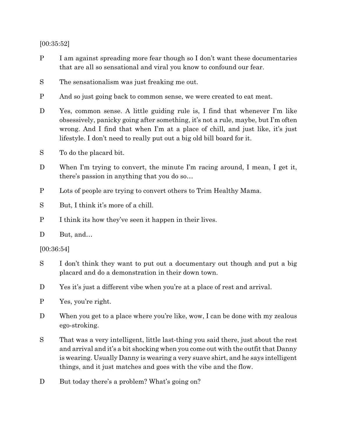[00:35:52]

- P I am against spreading more fear though so I don't want these documentaries that are all so sensational and viral you know to confound our fear.
- S The sensationalism was just freaking me out.
- P And so just going back to common sense, we were created to eat meat.
- D Yes, common sense. A little guiding rule is, I find that whenever I'm like obsessively, panicky going after something, it's not a rule, maybe, but I'm often wrong. And I find that when I'm at a place of chill, and just like, it's just lifestyle. I don't need to really put out a big old bill board for it.
- S To do the placard bit.
- D When I'm trying to convert, the minute I'm racing around, I mean, I get it, there's passion in anything that you do so…
- P Lots of people are trying to convert others to Trim Healthy Mama.
- S But, I think it's more of a chill.
- P I think its how they've seen it happen in their lives.
- D But, and...

[00:36:54]

- S I don't think they want to put out a documentary out though and put a big placard and do a demonstration in their down town.
- D Yes it's just a different vibe when you're at a place of rest and arrival.
- P Yes, you're right.
- D When you get to a place where you're like, wow, I can be done with my zealous ego-stroking.
- S That was a very intelligent, little last-thing you said there, just about the rest and arrival and it's a bit shocking when you come out with the outfit that Danny is wearing. Usually Danny is wearing a very suave shirt, and he says intelligent things, and it just matches and goes with the vibe and the flow.
- D But today there's a problem? What's going on?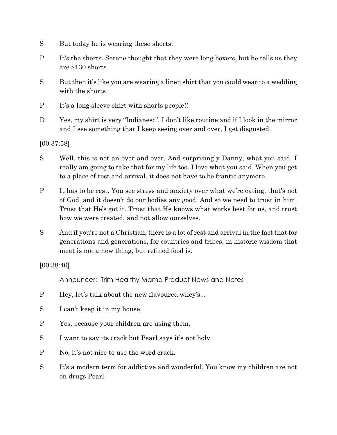- S But today he is wearing these shorts.
- P It's the shorts. Serene thought that they were long boxers, but he tells us they are \$130 shorts
- S But then it's like you are wearing a linen shirt that you could wear to a wedding with the shorts
- P It's a long sleeve shirt with shorts people!!
- D Yes, my shirt is very "Indianesc", I don't like routine and if I look in the mirror and I see something that I keep seeing over and over, I get disgusted.

[00:37:58]

- S Well, this is not an over and over. And surprisingly Danny, what you said. I really am going to take that for my life too. I love what you said. When you get to a place of rest and arrival, it does not have to be frantic anymore.
- P It has to be rest. You see stress and anxiety over what we're eating, that's not of God, and it doesn't do our bodies any good. And so we need to trust in him. Trust that He's got it. Trust that He knows what works best for us, and trust how we were created, and not allow ourselves.
- S And if you're not a Christian, there is a lot of rest and arrival in the fact that for generations and generations, for countries and tribes, in historic wisdom that meat is not a new thing, but refined food is.

[00:38:40]

Announcer: Trim Healthy Mama Product News and Notes

- P Hey, let's talk about the new flavoured whey's...
- S I can't keep it in my house.
- P Yes, because your children are using them.
- S I want to say its crack but Pearl says it's not holy.
- P No, it's not nice to use the word crack.
- S It's a modern term for addictive and wonderful. You know my children are not on drugs Pearl.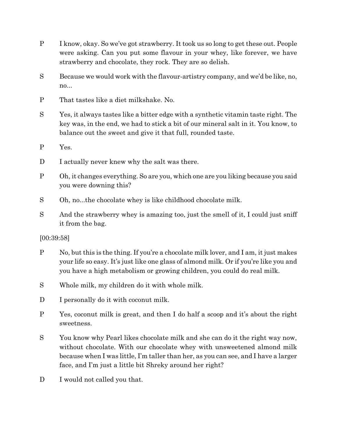- P I know, okay. So we've got strawberry. It took us so long to get these out. People were asking. Can you put some flavour in your whey, like forever, we have strawberry and chocolate, they rock. They are so delish.
- S Because we would work with the flavour-artistry company, and we'd be like, no, no...
- P That tastes like a diet milkshake. No.
- S Yes, it always tastes like a bitter edge with a synthetic vitamin taste right. The key was, in the end, we had to stick a bit of our mineral salt in it. You know, to balance out the sweet and give it that full, rounded taste.
- P Yes.
- D I actually never knew why the salt was there.
- P Oh, it changes everything. So are you, which one are you liking because you said you were downing this?
- S Oh, no...the chocolate whey is like childhood chocolate milk.
- S And the strawberry whey is amazing too, just the smell of it, I could just sniff it from the bag.

[00:39:58]

- P No, but this is the thing. If you're a chocolate milk lover, and I am, it just makes your life so easy. It's just like one glass of almond milk. Or if you're like you and you have a high metabolism or growing children, you could do real milk.
- S Whole milk, my children do it with whole milk.
- D I personally do it with coconut milk.
- P Yes, coconut milk is great, and then I do half a scoop and it's about the right sweetness.
- S You know why Pearl likes chocolate milk and she can do it the right way now, without chocolate. With our chocolate whey with unsweetened almond milk because when I was little, I'm taller than her, as you can see, and I have a larger face, and I'm just a little bit Shreky around her right?
- D I would not called you that.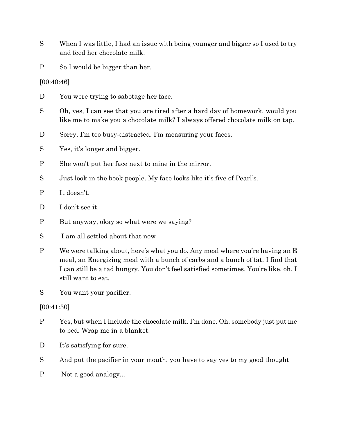- S When I was little, I had an issue with being younger and bigger so I used to try and feed her chocolate milk.
- P So I would be bigger than her.

[00:40:46]

- D You were trying to sabotage her face.
- S Oh, yes, I can see that you are tired after a hard day of homework, would you like me to make you a chocolate milk? I always offered chocolate milk on tap.
- D Sorry, I'm too busy-distracted. I'm measuring your faces.
- S Yes, it's longer and bigger.
- P She won't put her face next to mine in the mirror.
- S Just look in the book people. My face looks like it's five of Pearl's.
- P It doesn't.
- D I don't see it.
- P But anyway, okay so what were we saying?
- S I am all settled about that now
- P We were talking about, here's what you do. Any meal where you're having an E meal, an Energizing meal with a bunch of carbs and a bunch of fat, I find that I can still be a tad hungry. You don't feel satisfied sometimes. You're like, oh, I still want to eat.
- S You want your pacifier.

[00:41:30]

- P Yes, but when I include the chocolate milk. I'm done. Oh, somebody just put me to bed. Wrap me in a blanket.
- D It's satisfying for sure.
- S And put the pacifier in your mouth, you have to say yes to my good thought
- P Not a good analogy...